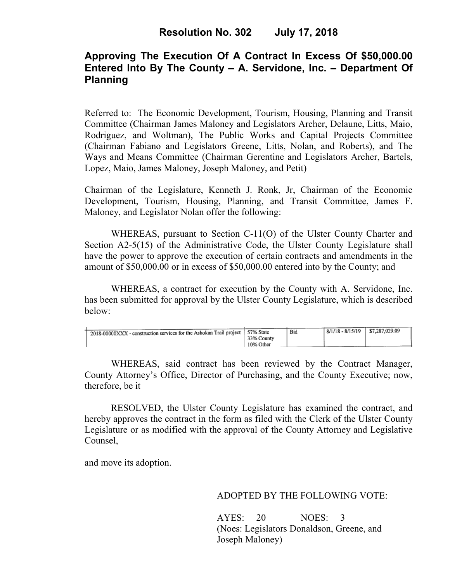## **Approving The Execution Of A Contract In Excess Of \$50,000.00 Entered Into By The County – A. Servidone, Inc. – Department Of Planning**

Referred to: The Economic Development, Tourism, Housing, Planning and Transit Committee (Chairman James Maloney and Legislators Archer, Delaune, Litts, Maio, Rodriguez, and Woltman), The Public Works and Capital Projects Committee (Chairman Fabiano and Legislators Greene, Litts, Nolan, and Roberts), and The Ways and Means Committee (Chairman Gerentine and Legislators Archer, Bartels, Lopez, Maio, James Maloney, Joseph Maloney, and Petit)

Chairman of the Legislature, Kenneth J. Ronk, Jr, Chairman of the Economic Development, Tourism, Housing, Planning, and Transit Committee, James F. Maloney, and Legislator Nolan offer the following:

WHEREAS, pursuant to Section C-11(O) of the Ulster County Charter and Section A2-5(15) of the Administrative Code, the Ulster County Legislature shall have the power to approve the execution of certain contracts and amendments in the amount of \$50,000.00 or in excess of \$50,000.00 entered into by the County; and

 WHEREAS, a contract for execution by the County with A. Servidone, Inc. has been submitted for approval by the Ulster County Legislature, which is described below:

|                                                                               |            | Bid | $8/1/18 - 8/15/19$ | \$7,287,029.09 |
|-------------------------------------------------------------------------------|------------|-----|--------------------|----------------|
| 2018-00000XXX - construction services for the Ashokan Trail project 57% State |            |     |                    |                |
|                                                                               | 33% County |     |                    |                |
|                                                                               | 10% Other  |     |                    |                |

WHEREAS, said contract has been reviewed by the Contract Manager, County Attorney's Office, Director of Purchasing, and the County Executive; now, therefore, be it

RESOLVED, the Ulster County Legislature has examined the contract, and hereby approves the contract in the form as filed with the Clerk of the Ulster County Legislature or as modified with the approval of the County Attorney and Legislative Counsel,

and move its adoption.

#### ADOPTED BY THE FOLLOWING VOTE:

AYES: 20 NOES: 3 (Noes: Legislators Donaldson, Greene, and Joseph Maloney)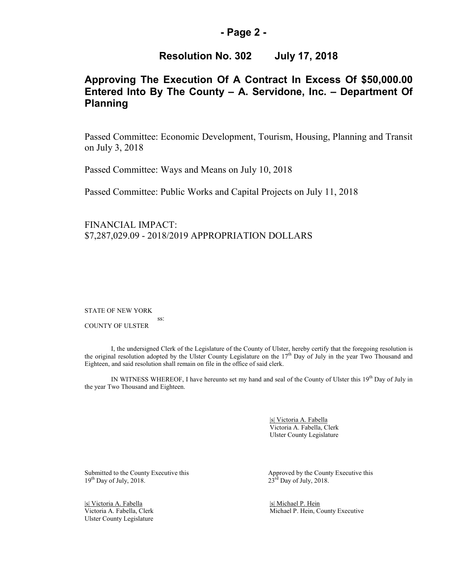#### **- Page 2 -**

### **Resolution No. 302 July 17, 2018**

## **Approving The Execution Of A Contract In Excess Of \$50,000.00 Entered Into By The County – A. Servidone, Inc. – Department Of Planning**

Passed Committee: Economic Development, Tourism, Housing, Planning and Transit on July 3, 2018

Passed Committee: Ways and Means on July 10, 2018

Passed Committee: Public Works and Capital Projects on July 11, 2018

FINANCIAL IMPACT: \$7,287,029.09 - 2018/2019 APPROPRIATION DOLLARS

STATE OF NEW YORK

 ss: COUNTY OF ULSTER

I, the undersigned Clerk of the Legislature of the County of Ulster, hereby certify that the foregoing resolution is the original resolution adopted by the Ulster County Legislature on the  $17<sup>th</sup>$  Day of July in the year Two Thousand and Eighteen, and said resolution shall remain on file in the office of said clerk.

IN WITNESS WHEREOF, I have hereunto set my hand and seal of the County of Ulster this 19th Day of July in the year Two Thousand and Eighteen.

> |s| Victoria A. Fabella Victoria A. Fabella, Clerk Ulster County Legislature

|s| Victoria A. Fabella | S| Michael P. Hein | Victoria A. Fabella | Clerk | S| Michael P. Hein | Co Ulster County Legislature

Submitted to the County Executive this Approved by the County Executive this 19<sup>th</sup> Day of July, 2018. 23<sup>rd</sup> Day of July, 2018.  $23<sup>rd</sup>$  Day of July, 2018.

Michael P. Hein, County Executive